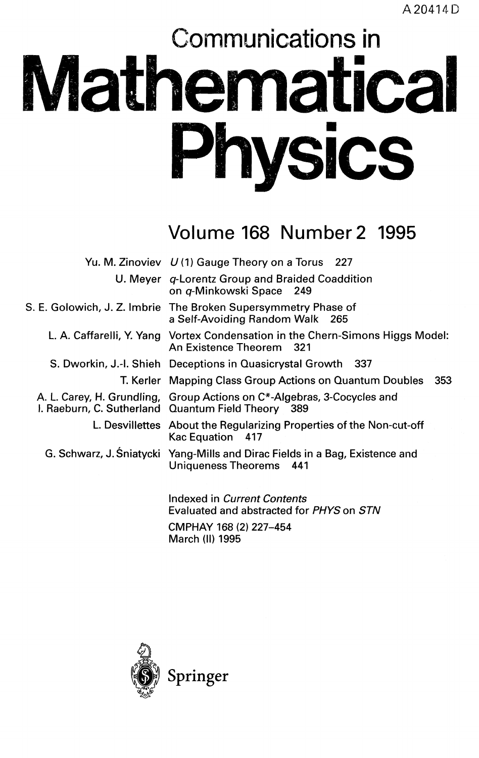# Communications in **Mathematical Physics**

## Volume 168 Number 2 1995

| Yu. M. Zinoviev U(1) Gauge Theory on a Torus 227                                                                              |
|-------------------------------------------------------------------------------------------------------------------------------|
| U. Meyer q-Lorentz Group and Braided Coaddition<br>on q-Minkowski Space 249                                                   |
| S. E. Golowich, J. Z. Imbrie The Broken Supersymmetry Phase of<br>a Self-Avoiding Random Walk 265                             |
| L. A. Caffarelli, Y. Yang Vortex Condensation in the Chern-Simons Higgs Model:<br>An Existence Theorem 321                    |
| S. Dworkin, J.-I. Shieh Deceptions in Quasicrystal Growth 337                                                                 |
| T. Kerler Mapping Class Group Actions on Quantum Doubles<br>353                                                               |
| A. L. Carey, H. Grundling, Group Actions on C*-Algebras, 3-Cocycles and<br>I. Raeburn, C. Sutherland Quantum Field Theory 389 |
| L. Desvillettes About the Regularizing Properties of the Non-cut-off<br>Kac Equation 417                                      |
| G. Schwarz, J. Sniatycki Yang-Mills and Dirac Fields in a Bag, Existence and<br>Uniqueness Theorems 441                       |
| Indexed in Current Contents<br>E. I. J. J. J. L. J. J. J. J. C. DIN 70 OTN.                                                   |

Evaluated and abstracted for *PHYS* on *STN* CMPHAY 168 (2) 227-454 March (II) 1995